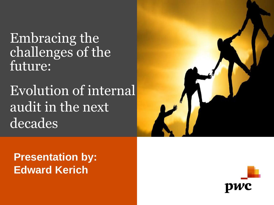Embracing the challenges of the future:

Evolution of internal audit in the next decades



**Presentation by: Edward Kerich**

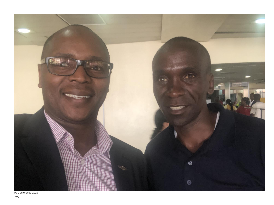

PwC IIA Conference 2019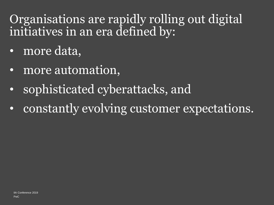Organisations are rapidly rolling out digital initiatives in an era defined by:

- more data,
- more automation,
- sophisticated cyberattacks, and
- constantly evolving customer expectations.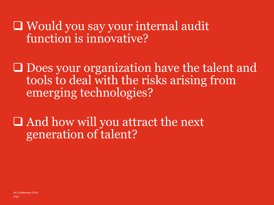Would you say your internal audit function is innovative?

□ Does your organization have the talent and tools to deal with the risks arising from emerging technologies?

 And how will you attract the next generation of talent?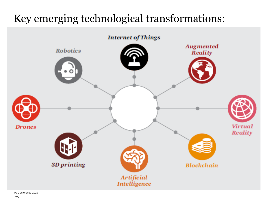#### Key emerging technological transformations:



PwC IIA Conference 2019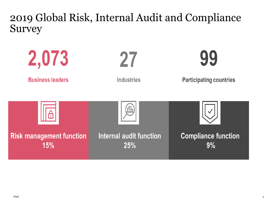#### 2019 Global Risk, Internal Audit and Compliance Survey

| 2,073                                  |                                       | 99                               |
|----------------------------------------|---------------------------------------|----------------------------------|
| <b>Business leaders</b>                | <b>Industries</b>                     | <b>Participating countries</b>   |
| A                                      |                                       |                                  |
| <b>Risk management function</b><br>15% | <b>Internal audit function</b><br>25% | <b>Compliance function</b><br>9% |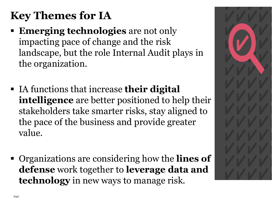## **Key Themes for IA**

- **Emerging technologies** are not only impacting pace of change and the risk landscape, but the role Internal Audit plays in the organization.
- IA functions that increase **their digital intelligence** are better positioned to help their stakeholders take smarter risks, stay aligned to the pace of the business and provide greater value.
- Organizations are considering how the **lines of defense** work together to **leverage data and technology** in new ways to manage risk.

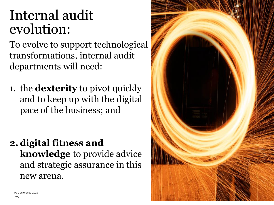## Internal audit evolution:

To evolve to support technological transformations, internal audit departments will need:

1. the **dexterity** to pivot quickly and to keep up with the digital pace of the business; and

**2. digital fitness and knowledge** to provide advice and strategic assurance in this new arena.

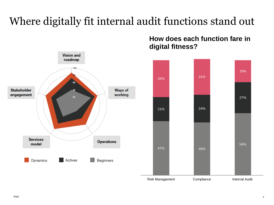### Where digitally fit internal audit functions stand out

#### **How does each function fare in digital fitness?**



Risk Management Compliance Internal Audit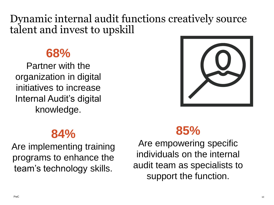#### Dynamic internal audit functions creatively source talent and invest to upskill

#### **68%**

Partner with the organization in digital initiatives to increase Internal Audit's digital knowledge.

#### **84%**

Are implementing training programs to enhance the team's technology skills.



## **85%**

Are empowering specific individuals on the internal audit team as specialists to support the function.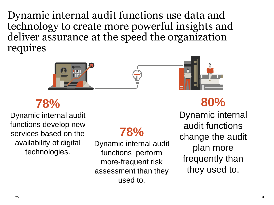Dynamic internal audit functions use data and technology to create more powerful insights and deliver assurance at the speed the organization requires





Dynamic internal audit functions develop new services based on the availability of digital technologies.

### **78%**

Dynamic internal audit functions perform more-frequent risk assessment than they used to.



#### **80%**

Dynamic internal audit functions change the audit plan more frequently than they used to.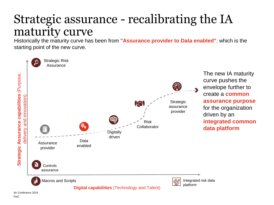### Strategic assurance - recalibrating the IA maturity curve

Historically the maturity curve has been from **"Assurance provider to Data enabled"**, which is the starting point of the new curve.

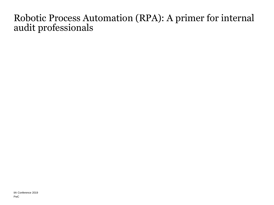#### Robotic Process Automation (RPA): A primer for internal audit professionals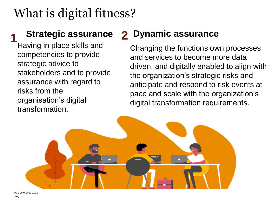## What is digital fitness?

#### **Strategic assurance 1**

Having in place skills and competencies to provide strategic advice to stakeholders and to provide assurance with regard to risks from the organisation's digital transformation.

#### **2 Dynamic assurance**

Changing the functions own processes and services to become more data driven, and digitally enabled to align with the organization's strategic risks and anticipate and respond to risk events at pace and scale with the organization's digital transformation requirements.

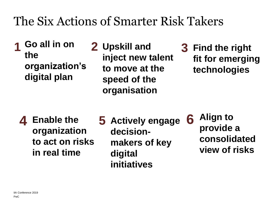## The Six Actions of Smarter Risk Takers

- **Go all in on the organization's digital plan 1**
- **Upskill and inject new talent to move at the speed of the organisation 2** Upskill and **3** Find the right
	- **fit for emerging technologies**

- **Enable the organization to act on risks in real time 4**
- **Actively engage 5 decisionmakers of key digital initiatives 6**
- **Align to provide a consolidated view of risks**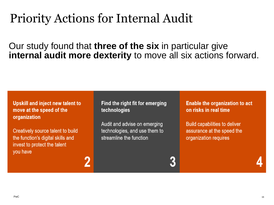## Priority Actions for Internal Audit

Our study found that **three of the six** in particular give **internal audit more dexterity** to move all six actions forward.

#### **Upskill and inject new talent to** move at the speed of the organization

Creatively source talent to build the function's digital skills and invest to protect the talent you have

#### Find the right fit for emerging **2 3 4**

Audit and advise on emerging technologies, and use them to streamline the function

**Enable the organization to act** 

**Build capabilities to deliver** assurance at the speed the organization requires